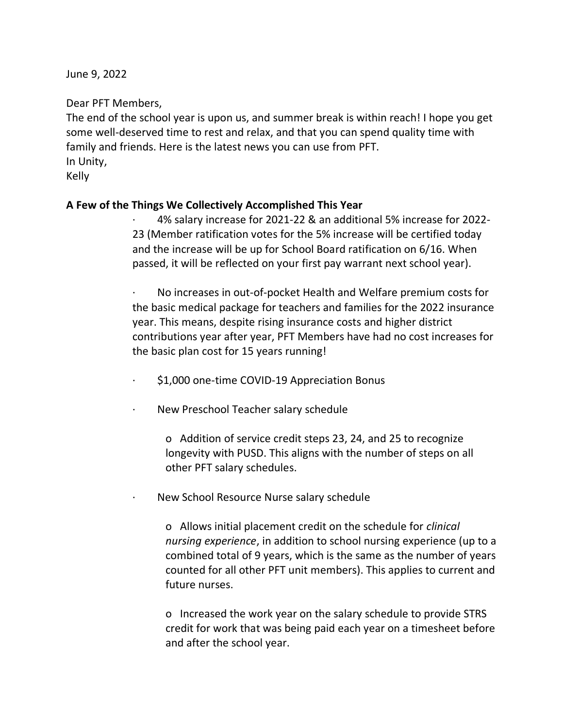June 9, 2022

Dear PFT Members,

The end of the school year is upon us, and summer break is within reach! I hope you get some well-deserved time to rest and relax, and that you can spend quality time with family and friends. Here is the latest news you can use from PFT. In Unity,

Kelly

## **A Few of the Things We Collectively Accomplished This Year**

· 4% salary increase for 2021-22 & an additional 5% increase for 2022- 23 (Member ratification votes for the 5% increase will be certified today and the increase will be up for School Board ratification on 6/16. When passed, it will be reflected on your first pay warrant next school year).

· No increases in out-of-pocket Health and Welfare premium costs for the basic medical package for teachers and families for the 2022 insurance year. This means, despite rising insurance costs and higher district contributions year after year, PFT Members have had no cost increases for the basic plan cost for 15 years running!

· \$1,000 one-time COVID-19 Appreciation Bonus

· New Preschool Teacher salary schedule

o Addition of service credit steps 23, 24, and 25 to recognize longevity with PUSD. This aligns with the number of steps on all other PFT salary schedules.

New School Resource Nurse salary schedule

o Allows initial placement credit on the schedule for *clinical nursing experience*, in addition to school nursing experience (up to a combined total of 9 years, which is the same as the number of years counted for all other PFT unit members). This applies to current and future nurses.

o Increased the work year on the salary schedule to provide STRS credit for work that was being paid each year on a timesheet before and after the school year.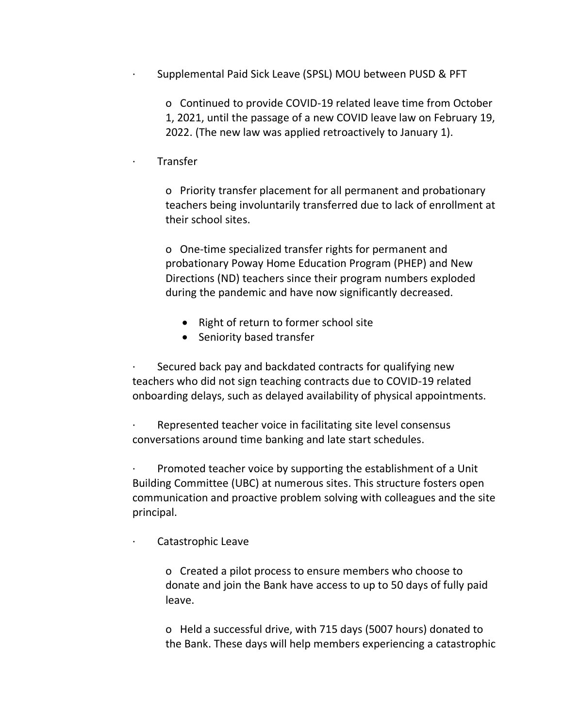Supplemental Paid Sick Leave (SPSL) MOU between PUSD & PFT

o Continued to provide COVID-19 related leave time from October

1, 2021, until the passage of a new COVID leave law on February 19,

2022. (The new law was applied retroactively to January 1).

## · Transfer

o Priority transfer placement for all permanent and probationary teachers being involuntarily transferred due to lack of enrollment at their school sites.

o One-time specialized transfer rights for permanent and probationary Poway Home Education Program (PHEP) and New Directions (ND) teachers since their program numbers exploded during the pandemic and have now significantly decreased.

- Right of return to former school site
- Seniority based transfer

Secured back pay and backdated contracts for qualifying new teachers who did not sign teaching contracts due to COVID-19 related onboarding delays, such as delayed availability of physical appointments.

Represented teacher voice in facilitating site level consensus conversations around time banking and late start schedules.

· Promoted teacher voice by supporting the establishment of a Unit Building Committee (UBC) at numerous sites. This structure fosters open communication and proactive problem solving with colleagues and the site principal.

Catastrophic Leave

o Created a pilot process to ensure members who choose to donate and join the Bank have access to up to 50 days of fully paid leave.

o Held a successful drive, with 715 days (5007 hours) donated to the Bank. These days will help members experiencing a catastrophic